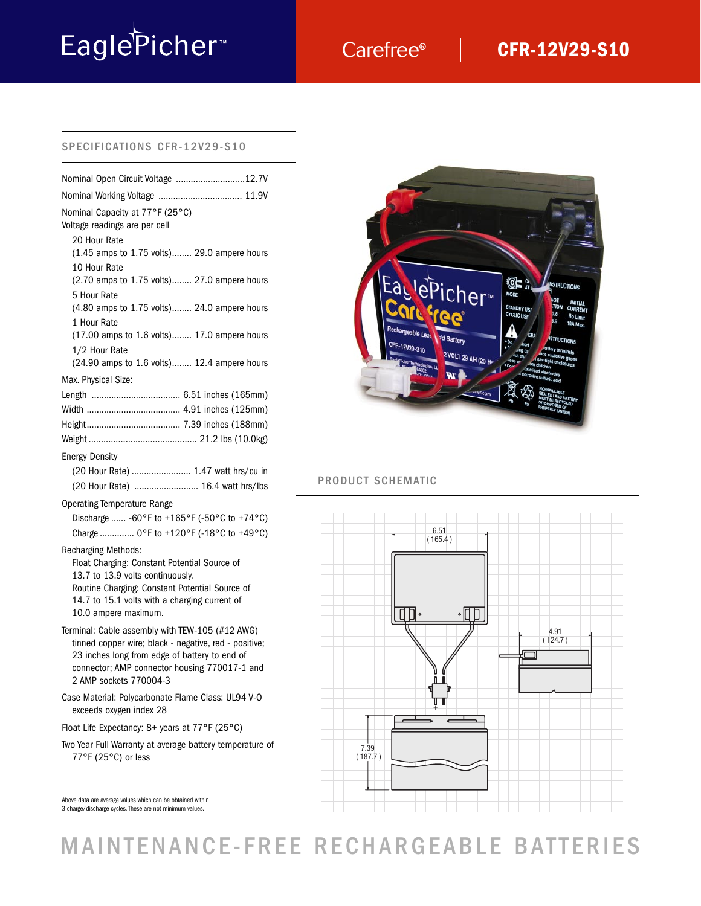# EaglePicher<sup>®</sup>

## Carefree®

### **CFR-12V29-S10**

#### SPECIFICATIONS CFR-12V29-S10

| Nominal Capacity at 77°F (25°C)<br>Voltage readings are per cell                                                                                                                                                                          |
|-------------------------------------------------------------------------------------------------------------------------------------------------------------------------------------------------------------------------------------------|
| 20 Hour Rate<br>(1.45 amps to 1.75 volts) 29.0 ampere hours<br>10 Hour Rate                                                                                                                                                               |
| (2.70 amps to 1.75 volts) 27.0 ampere hours<br>5 Hour Rate                                                                                                                                                                                |
| (4.80 amps to 1.75 volts) 24.0 ampere hours                                                                                                                                                                                               |
| 1 Hour Rate<br>(17.00 amps to 1.6 volts) 17.0 ampere hours                                                                                                                                                                                |
| 1/2 Hour Rate<br>(24.90 amps to 1.6 volts) 12.4 ampere hours                                                                                                                                                                              |
| Max. Physical Size:                                                                                                                                                                                                                       |
|                                                                                                                                                                                                                                           |
|                                                                                                                                                                                                                                           |
|                                                                                                                                                                                                                                           |
|                                                                                                                                                                                                                                           |
| <b>Energy Density</b>                                                                                                                                                                                                                     |
| (20 Hour Rate)  1.47 watt hrs/cu in                                                                                                                                                                                                       |
| (20 Hour Rate)  16.4 watt hrs/lbs                                                                                                                                                                                                         |
| <b>Operating Temperature Range</b>                                                                                                                                                                                                        |
| Discharge  -60°F to +165°F (-50°C to +74°C)                                                                                                                                                                                               |
| Charge  0°F to +120°F (-18°C to +49°C)                                                                                                                                                                                                    |
| <b>Recharging Methods:</b><br>Float Charging: Constant Potential Source of<br>13.7 to 13.9 volts continuously.<br>Routine Charging: Constant Potential Source of<br>14.7 to 15.1 volts with a charging current of<br>10.0 ampere maximum. |
| Terminal: Cable assembly with TEW-105 (#12 AWG)<br>tinned copper wire; black - negative, red - positive;<br>23 inches long from edge of battery to end of<br>connector; AMP connector housing 770017-1 and<br>2 AMP sockets 770004-3      |
| Case Material: Polycarbonate Flame Class: UL94 V-O<br>exceeds oxygen index 28                                                                                                                                                             |
| Float Life Expectancy: 8+ years at 77°F (25°C)                                                                                                                                                                                            |
| Two Year Full Warranty at average battery temperature of<br>77°F (25°C) or less                                                                                                                                                           |

Above data are average values which can be obtained within 3 charge/discharge cycles. These are not minimum values.



L

#### PRODUCT SCHEMATIC



# MAINTENANCE-FREE RECHARGEABLE BATTERIES